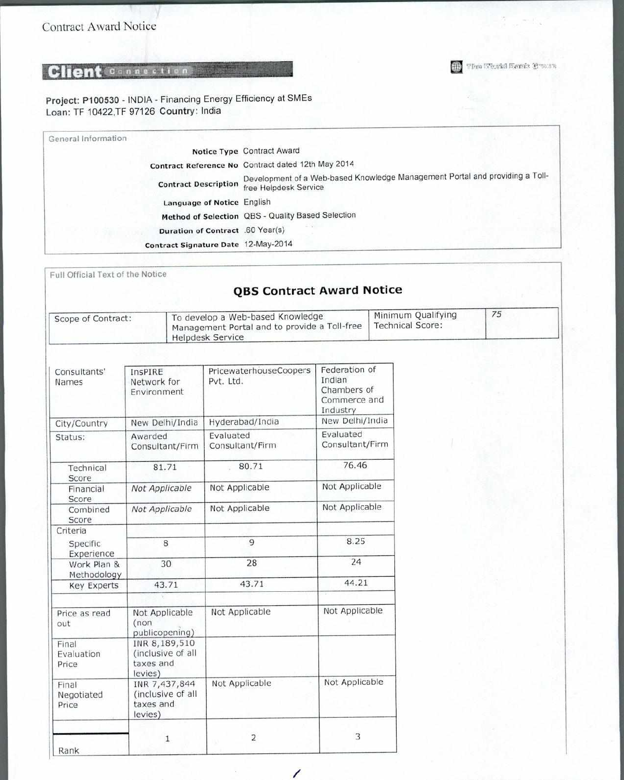Project: P100530 - INDIA - Financing Energy Efficiency at SMEs Loan: TF 10422,TF 97126 Country: India

| General Information |                                     |                                                                                                       |
|---------------------|-------------------------------------|-------------------------------------------------------------------------------------------------------|
|                     |                                     | Notice Type Contract Award                                                                            |
|                     |                                     | Contract Reference No Contract dated 12th May 2014                                                    |
|                     | <b>Contract Description</b>         | Development of a Web-based Knowledge Management Portal and providing a Toll-<br>free Helpdesk Service |
|                     | Language of Notice English          |                                                                                                       |
|                     |                                     | Method of Selection QBS - Quality Based Selection                                                     |
|                     | Duration of Contract .60 Year(s)    |                                                                                                       |
|                     | Contract Signature Date 12-May-2014 |                                                                                                       |

The World Bank Bank

Full Official Text of the Notice

### **QBS Contract Award Notice**

| Scope of Contract: | To develop a Web-based Knowledge<br>Management Portal and to provide a Toll-free<br>Helpdesk Service | Minimum Qualifying<br>Technical Score: | 75 |  |
|--------------------|------------------------------------------------------------------------------------------------------|----------------------------------------|----|--|
|--------------------|------------------------------------------------------------------------------------------------------|----------------------------------------|----|--|

| Consultants'<br>Names        | InsPIRE<br>Network for<br>Environment                      | PricewaterhouseCoopers<br>Pvt. Ltd. | Federation of<br>Indian<br>Chambers of<br>Commerce and<br>Industry |  |
|------------------------------|------------------------------------------------------------|-------------------------------------|--------------------------------------------------------------------|--|
| City/Country                 | New Delhi/India                                            | Hyderabad/India                     | New Delhi/India                                                    |  |
| Status:                      | Awarded<br>Consultant/Firm                                 | Evaluated<br>Consultant/Firm        | Evaluated<br>Consultant/Firm                                       |  |
| Technical<br>Score           | 81.71                                                      | 80.71                               | 76.46                                                              |  |
| Financial<br>Score           | Not Applicable                                             | Not Applicable                      | Not Applicable                                                     |  |
| Combined<br>Score            | Not Applicable                                             | Not Applicable                      | Not Applicable                                                     |  |
| Criteria                     |                                                            |                                     |                                                                    |  |
| Specific<br>Experience       | 8                                                          | 9                                   | 8.25<br>24                                                         |  |
| Work Plan &<br>Methodology   | 30                                                         | 28                                  |                                                                    |  |
| <b>Key Experts</b>           | 43.71                                                      | 43.71                               | 44.21                                                              |  |
| Price as read<br>out         | Not Applicable<br>(non)<br>publicopening)                  | Not Applicable                      | Not Applicable                                                     |  |
| Final<br>Evaluation<br>Price | INR 8,189,510<br>(inclusive of all<br>taxes and<br>levies) |                                     |                                                                    |  |
| Final<br>Negotiated<br>Price | INR 7,437,844<br>(inclusive of all<br>taxes and<br>levies) | Not Applicable                      | Not Applicable                                                     |  |
| Rank                         | 1                                                          | 2                                   | 3                                                                  |  |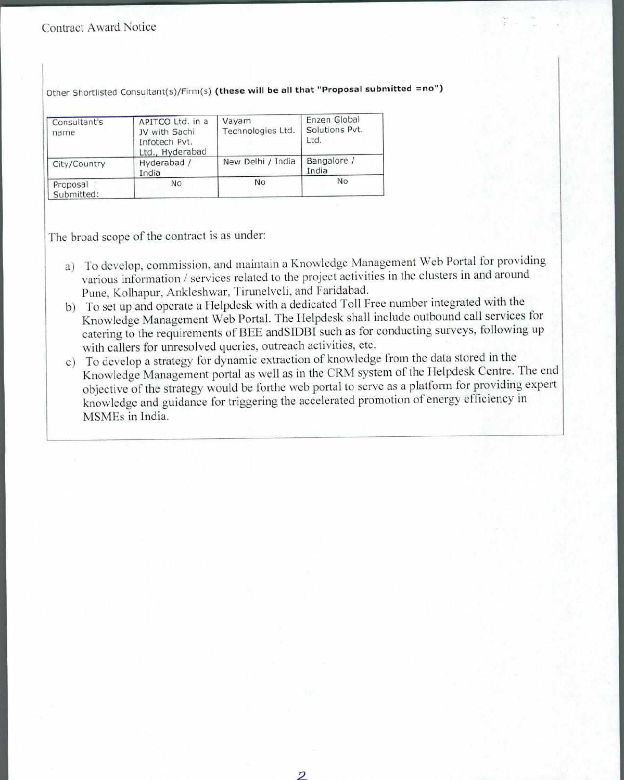#### Contract Award Notice

Other Shortlisted Consultant(s)/Firm(s) (these will be all that "Proposal submitted =no")

| Consultant's<br>name   | APITCO Ltd. in a<br>JV with Sachi<br>Infotech Pvt.<br>Ltd., Hyderabad | Vayam<br>Technologies Ltd. | Enzen Global<br>Solutions Pvt.<br>Ltd. |
|------------------------|-----------------------------------------------------------------------|----------------------------|----------------------------------------|
| City/Country           | Hyderabad /<br>India                                                  | New Delhi / India          | Bangalore /<br>India                   |
| Proposal<br>Submitted: | No                                                                    | No                         | No                                     |

The broad scope of the contract is as under:

- a) To develop, commission, and maintain a Knowledge Management Web Portal for providing various information / services related to the project activities in the clusters in and around Pune, Kolhapur, Ankleshwar, Tirunelveli, and Faridabad.
- b) To set up and operate a Helpdesk with a dedicated Toll Free number integrated with the Knowledge Management Web Portal. The Helpdesk shall include outbound call services for catering to the requirements of BEE andSIDBI such as for conducting surveys, following up with callers for unresolved queries, outreach activities, etc.
- c) To develop a strategy for dynamic extraction of knowledge from the data stored in the Knowledge Management portal as well as in the CRM system of the Helpdesk Centre. The end objective of the strategy would be forthe web portal to serve as a platform for providing expert knowledge and guidance for triggering the accelerated promotion of energy efficiency in MSMEs in India.

*2*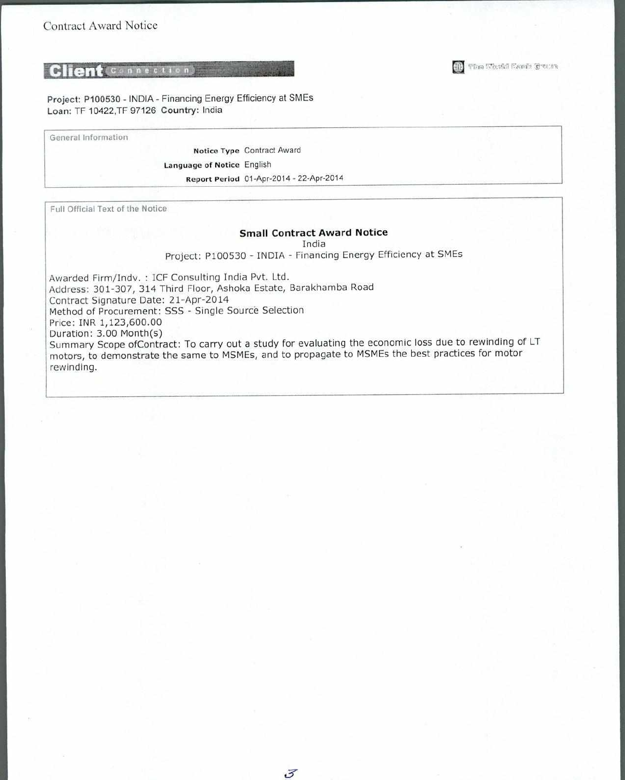Project: P100530 - INDIA - Financing Energy Efficiency at SMEs Loan: TF 10422,TF 97126 Country: India

General Information

Notice Type Contract Award Language of Notice English Report Period 01-Apr-2014 - 22-Apr-2014

Full Official Text of the Notice

#### **Small Contract Award Notice**

India

Project: P100530 - INDIA - Financing Energy Efficiency at SMEs

Awarded Firm/Indv. : ICF Consulting India Pvt. Ltd. Address: 301-307, 314 Third Floor, Ashoka Estate, Barakhamba Road Contract Signature Date: 21-Apr-2014 Method of Procurement: SSS - Single Source Selection Price: INR 1,123,600.00 Duration: 3.00 Month(s) Summary Scope ofContract: To carry out a study for evaluating the economic loss due to rewinding of LT motors, to demonstrate the same to MSMEs, and to propagate to MSMEs the best practices for motor rewinding.

The Neuki Family Creens 细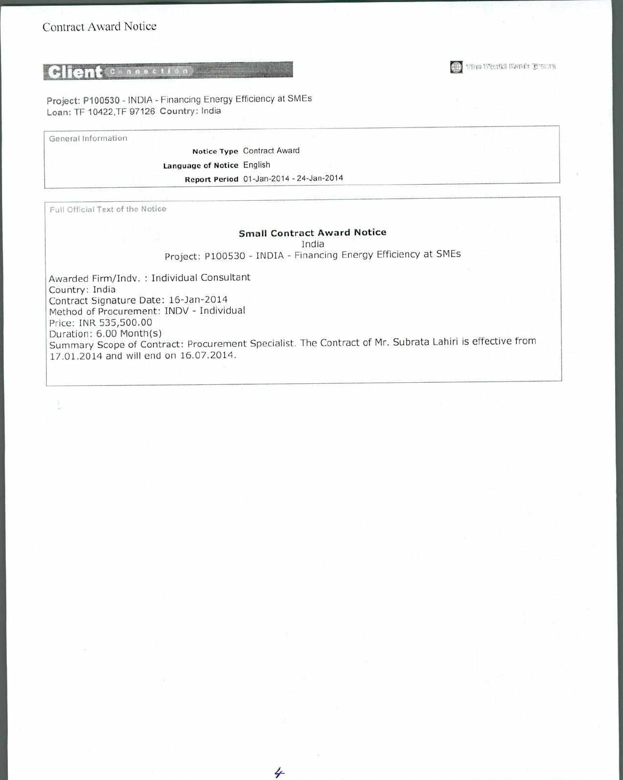Project: P100530 - INDIA - Financing Energy Efficiency at SMEs Loan: TF 10422,TF 97126 Country: India

General Information

Notice Type Contract Award Language of Notice English Report Period 01-Jan-2014 - 24-Jan-2014

Full Official Text of the Notice

#### **Small Contract Award Notice**

India

Project: P100530 - INDIA - Financing Energy Efficiency at SMEs

Awarded Firm/Indv. : Individual Consultant Country: India Contract Signature Date: 16-Jan-2014 Method of Procurement: INDV - Individual Price: INR 535,500.00 Duration: 6.00 Month(s) Summary Scope of Contract: Procurement Specialist. The Contract of Mr. Subrata Lahiri is effective from 17.01.2014 and will end on 16.07.2014.

4

**El The Benkl Earls Court**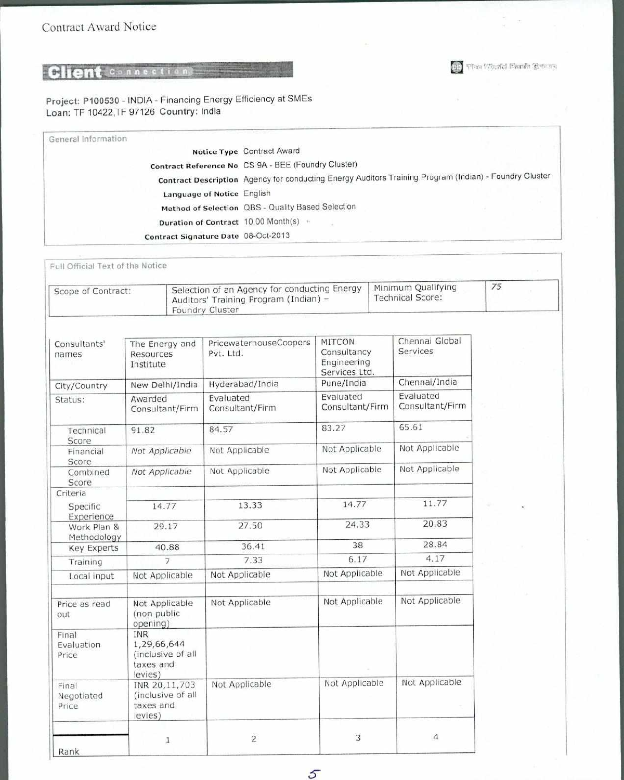Project: P100530 - INDIA - Financing Energy Efficiency at SMEs Loan: TF 10422,TF 97126 Country: India

| General Information |                                       |                                                                                                        |
|---------------------|---------------------------------------|--------------------------------------------------------------------------------------------------------|
|                     |                                       | Notice Type Contract Award                                                                             |
|                     |                                       | Contract Reference No CS 9A - BEE (Foundry Cluster)                                                    |
|                     |                                       | Contract Description Agency for conducting Energy Auditors Training Program (Indian) - Foundry Cluster |
|                     | Language of Notice English            |                                                                                                        |
|                     |                                       | Method of Selection QBS - Quality Based Selection                                                      |
|                     | Duration of Contract 10.00 Month(s) = |                                                                                                        |
|                     | Contract Signature Date 08-Oct-2013   |                                                                                                        |

fffice Weakl Easts Creas

 $\mathcal{D}$ 

Full Official Text of the Notice

| Scope of Contract: | <sup>1</sup> Selection of an Agency for conducting Energy<br>Auditors' Training Program (Indian) -<br>Foundry Cluster | Minimum Qualifying<br><b>Technical Score:</b> | 75 |  |
|--------------------|-----------------------------------------------------------------------------------------------------------------------|-----------------------------------------------|----|--|
|--------------------|-----------------------------------------------------------------------------------------------------------------------|-----------------------------------------------|----|--|

| Consultants'<br>The Energy and<br>Pvt. Ltd.<br>Resources<br>names<br>Institute |                                                                        | PricewaterhouseCoopers       | <b>MITCON</b><br>Consultancy<br>Engineering<br>Services Ltd. | Chennai Global<br><b>Services</b> |  |
|--------------------------------------------------------------------------------|------------------------------------------------------------------------|------------------------------|--------------------------------------------------------------|-----------------------------------|--|
| City/Country                                                                   | New Delhi/India                                                        | Hyderabad/India              | Pune/India                                                   | Chennai/India                     |  |
| Status:                                                                        | Awarded<br>Consultant/Firm                                             | Evaluated<br>Consultant/Firm | Evaluated<br>Consultant/Firm                                 | Evaluated<br>Consultant/Firm      |  |
| Technical<br>Score                                                             | 91.82                                                                  | 84.57                        | 83.27                                                        | 65.61                             |  |
| Financial<br>Score                                                             | Not Applicable                                                         | Not Applicable               | Not Applicable                                               | Not Applicable                    |  |
| Combined<br>Score                                                              | Not Applicable                                                         | Not Applicable               | Not Applicable                                               | Not Applicable                    |  |
| Criteria                                                                       |                                                                        |                              |                                                              |                                   |  |
| Specific<br>Experience                                                         | 14.77                                                                  | 13.33                        | 14.77                                                        | 11.77<br>20.83                    |  |
| Work Plan &<br>Methodology                                                     | 29.17                                                                  | 27.50                        | 24.33                                                        |                                   |  |
| <b>Key Experts</b>                                                             | 40.88                                                                  | 36.41                        | 38                                                           | 28.84                             |  |
| Training                                                                       | $\overline{7}$                                                         | 7.33                         | 6.17                                                         | 4.17                              |  |
| Local input                                                                    | Not Applicable                                                         | Not Applicable               | Not Applicable                                               | Not Applicable                    |  |
| Price as read<br>out                                                           | Not Applicable<br>(non public<br>opening)                              | Not Applicable               | Not Applicable                                               | Not Applicable                    |  |
| Final<br>Evaluation<br>Price                                                   | <b>INR</b><br>1,29,66,644<br>(inclusive of all<br>taxes and<br>levies) |                              |                                                              |                                   |  |
| Final<br>Negotiated<br>Price                                                   | INR 20,11,703<br>(inclusive of all<br>taxes and<br>levies)             | Not Applicable               | Not Applicable                                               | Not Applicable                    |  |
| Rank                                                                           | 1                                                                      | $\overline{2}$               | 3                                                            | $\overline{4}$                    |  |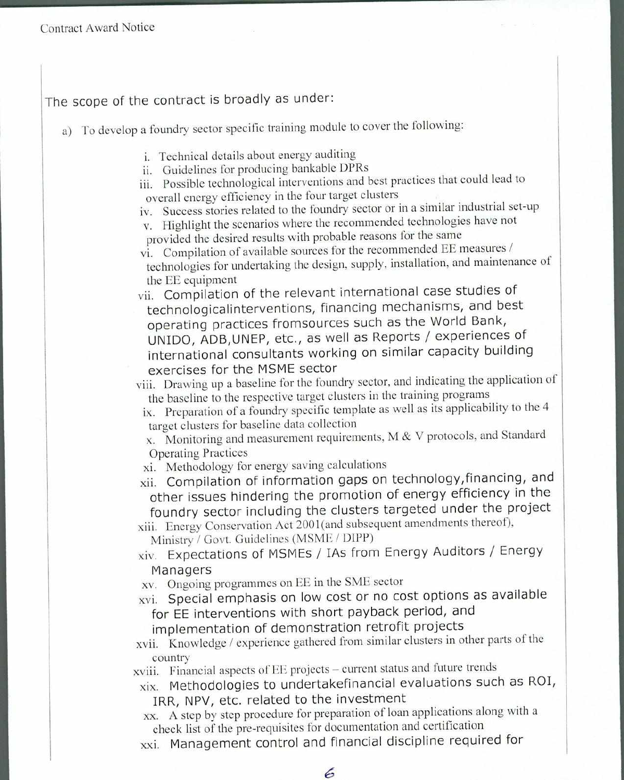## The scope of the contract is broadly as under:

- a) To develop a foundry sector specific training module to cover the following:
	- i. Technical details about energy auditing
	- ii. Guidelines for producing bankable DPRs
	- iii. Possible technological interventions and best practices that could lead to overall energy efficiency in the four target clusters
	- iv. Success stories related to the foundry sector or in a similar industrial set-up
	- v. Highlight the scenarios where the recommended technologies have not provided the desired results with probable reasons for the same
	- vi. Compilation of available sources for the recommended EE measures / technologies for undertaking the design, supply, installation, and maintenance of the EE equipment
	- vii. Compilation of the relevant international case studies of technologicalinterventions, financing mechanisms, and best operating practices fromsources such as the World Bank, UNIDO, ADB,UNEP, etc., as well as Reports / experiences of international consultants working on similar capacity building exercises for the MSME sector

viii. Drawing up a baseline for the foundry sector, and indicating the application of the baseline to the respective target clusters in the training programs

ix. Preparation of a foundry specific template as well as its applicability to the 4 target clusters for baseline data collection

x. Monitoring and measurement requirements, M & V protocols, and Standard Operating Practices

- xi. Methodology for energy saving calculations
- xii. Compilation of information gaps on technology,financing, and other issues hindering the promotion of energy efficiency in the foundry sector including the clusters targeted under the project

xiii. Energy Conservation Act 2001(and subsequent amendments thereof), Ministry / Govt. Guidelines (MSME / DIPP)

- xiv. Expectations of MSMEs / IAs from Energy Auditors / Energy Managers
- xv. Ongoing programmes on EE in the SME sector
- xvi. Special emphasis on low cost or no cost options as available for EE interventions with short payback period, and
	- implementation of demonstration retrofit projects
- xvii. Knowledge / experience gathered from similar clusters in other parts of the country

xviii. Financial aspects of EE projects — current status and future trends

- xix. Methodologies to undertakefinancial evaluations such as ROI, IRR, NPV, etc. related to the investment
- xx. A step by step procedure for preparation of loan applications along with a check list of the pre-requisites for documentation and certification
- xxi. Management control and financial discipline required for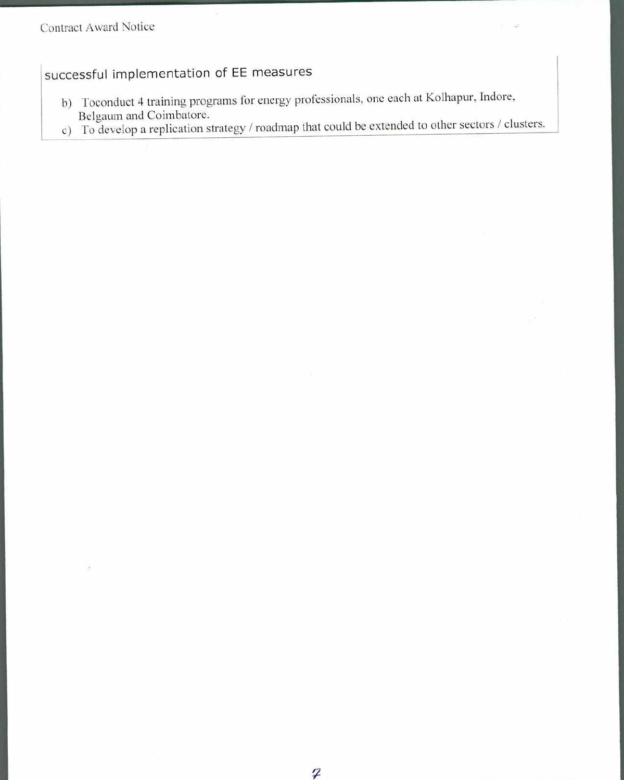# successful implementation of EE measures

- b) Toconduct 4 training programs for energy professionals, one each at Kolhapur, Indore, Belgaum and Coimbatore.
- c) To develop a replication strategy / roadmap that could be extended to other sectors / clusters.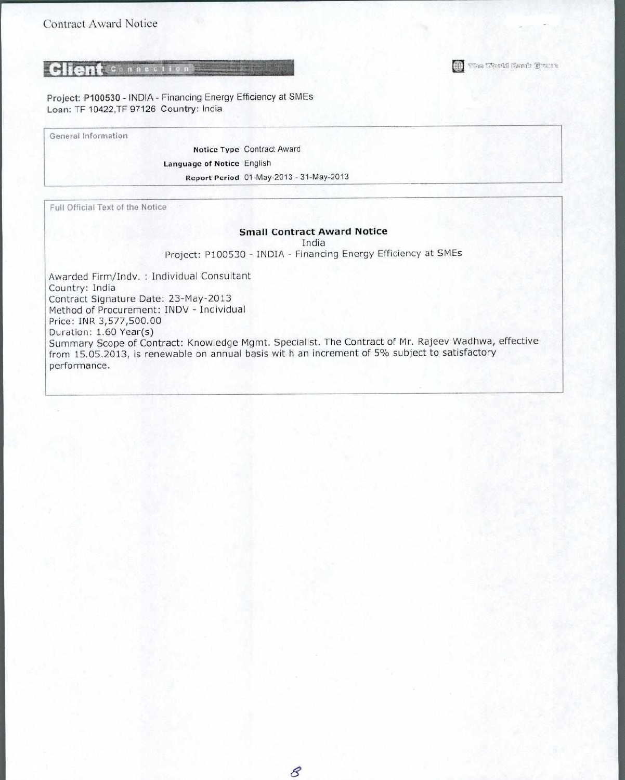The Wark! Bank Cream

Project: P100530 - INDIA - Financing Energy Efficiency at SMEs Loan: TF 10422,TF 97126 Country: India

General Information

Notice Type Contract Award Language of Notice English Report Period 01-May-2013 - 31-May-2013

Full Official Text of the Notice

#### **Small Contract Award Notice**

India

Project: P100530 - INDIA - Financing Energy Efficiency at SMEs

Awarded Firm/Indv. : Individual Consultant Country: India Contract Signature Date: 23-May-2013 Method of Procurement: INDV - Individual Price: INR 3,577,500.00 Duration: 1.60 Year(s) Summary Scope of Contract: Knowledge Mgmt. Specialist. The Contract of Mr. Rajeev Wadhwa, effective from 15.05.2013, is renewable on annual basis wit h an increment of 5% subject to satisfactory performance.